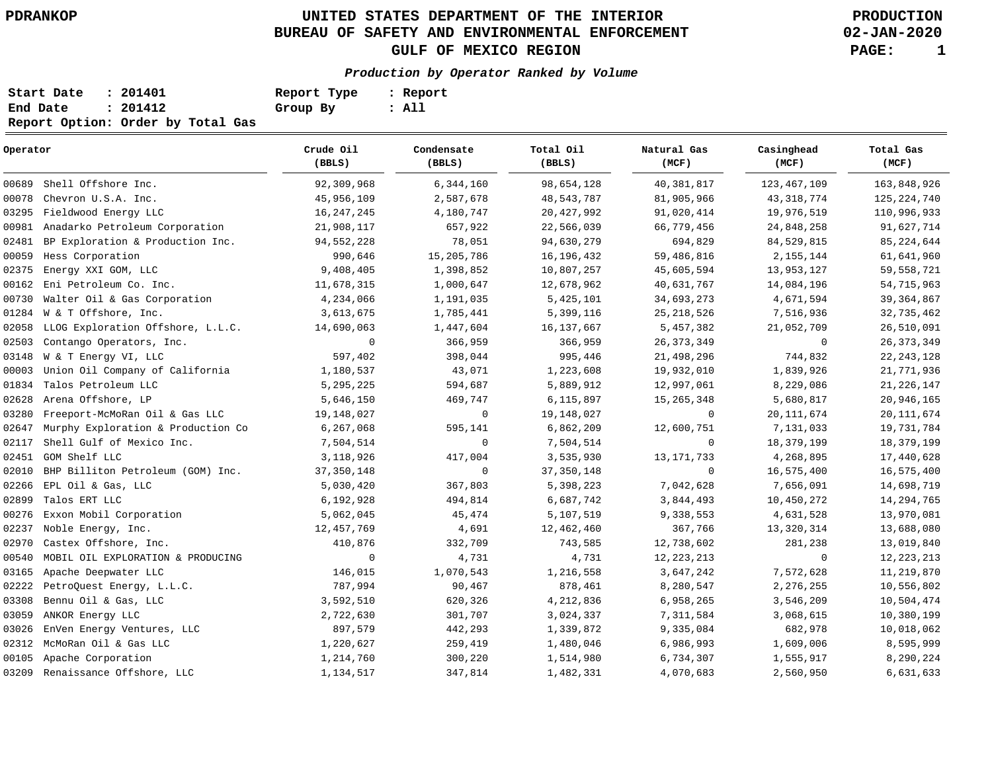# **UNITED STATES DEPARTMENT OF THE INTERIOR PDRANKOP PRODUCTION BUREAU OF SAFETY AND ENVIRONMENTAL ENFORCEMENT GULF OF MEXICO REGION PAGE: 1**

**02-JAN-2020**

## **Production by Operator Ranked by Volume**

| Start Date | : 201401                          | Report Type | : Report |
|------------|-----------------------------------|-------------|----------|
| End Date   | : 201412                          | Group By    | : All    |
|            | Report Option: Order by Total Gas |             |          |

| Operator |                                    | Crude Oil<br>(BBLS) | Condensate<br>(BBLS) | Total Oil<br>(BBLS) | Natural Gas<br>(MCF) | Casinghead<br>(MCF) | Total Gas<br>(MCF) |
|----------|------------------------------------|---------------------|----------------------|---------------------|----------------------|---------------------|--------------------|
| 00689    | Shell Offshore Inc.                | 92,309,968          | 6,344,160            | 98,654,128          | 40, 381, 817         | 123, 467, 109       | 163,848,926        |
| 00078    | Chevron U.S.A. Inc.                | 45,956,109          | 2,587,678            | 48,543,787          | 81,905,966           | 43, 318, 774        | 125, 224, 740      |
| 03295    | Fieldwood Energy LLC               | 16, 247, 245        | 4,180,747            | 20, 427, 992        | 91,020,414           | 19,976,519          | 110,996,933        |
| 00981    | Anadarko Petroleum Corporation     | 21,908,117          | 657,922              | 22,566,039          | 66,779,456           | 24,848,258          | 91,627,714         |
| 02481    | BP Exploration & Production Inc.   | 94, 552, 228        | 78,051               | 94,630,279          | 694,829              | 84,529,815          | 85, 224, 644       |
| 00059    | Hess Corporation                   | 990,646             | 15,205,786           | 16, 196, 432        | 59,486,816           | 2,155,144           | 61,641,960         |
| 02375    | Energy XXI GOM, LLC                | 9,408,405           | 1,398,852            | 10,807,257          | 45,605,594           | 13,953,127          | 59,558,721         |
| 00162    | Eni Petroleum Co. Inc.             | 11,678,315          | 1,000,647            | 12,678,962          | 40,631,767           | 14,084,196          | 54,715,963         |
| 00730    | Walter Oil & Gas Corporation       | 4,234,066           | 1,191,035            | 5,425,101           | 34,693,273           | 4,671,594           | 39, 364, 867       |
| 01284    | W & T Offshore, Inc.               | 3,613,675           | 1,785,441            | 5,399,116           | 25, 218, 526         | 7,516,936           | 32,735,462         |
| 02058    | LLOG Exploration Offshore, L.L.C.  | 14,690,063          | 1,447,604            | 16, 137, 667        | 5,457,382            | 21,052,709          | 26,510,091         |
| 02503    | Contango Operators, Inc.           | 0                   | 366,959              | 366,959             | 26, 373, 349         | 0                   | 26, 373, 349       |
| 03148    | W & T Energy VI, LLC               | 597,402             | 398,044              | 995,446             | 21,498,296           | 744,832             | 22, 243, 128       |
| 00003    | Union Oil Company of California    | 1,180,537           | 43,071               | 1,223,608           | 19,932,010           | 1,839,926           | 21,771,936         |
| 01834    | Talos Petroleum LLC                | 5,295,225           | 594,687              | 5,889,912           | 12,997,061           | 8,229,086           | 21, 226, 147       |
| 02628    | Arena Offshore, LP                 | 5,646,150           | 469,747              | 6,115,897           | 15, 265, 348         | 5,680,817           | 20,946,165         |
| 03280    | Freeport-McMoRan Oil & Gas LLC     | 19,148,027          | 0                    | 19,148,027          | 0                    | 20, 111, 674        | 20, 111, 674       |
| 02647    | Murphy Exploration & Production Co | 6,267,068           | 595,141              | 6,862,209           | 12,600,751           | 7,131,033           | 19,731,784         |
| 02117    | Shell Gulf of Mexico Inc.          | 7,504,514           | $\mathbf 0$          | 7,504,514           | $\mathbf 0$          | 18,379,199          | 18, 379, 199       |
| 02451    | GOM Shelf LLC                      | 3,118,926           | 417,004              | 3,535,930           | 13, 171, 733         | 4,268,895           | 17,440,628         |
| 02010    | BHP Billiton Petroleum (GOM) Inc.  | 37, 350, 148        | $\mathbf 0$          | 37, 350, 148        | 0                    | 16,575,400          | 16,575,400         |
| 02266    | EPL Oil & Gas, LLC                 | 5,030,420           | 367,803              | 5,398,223           | 7,042,628            | 7,656,091           | 14,698,719         |
| 02899    | Talos ERT LLC                      | 6,192,928           | 494,814              | 6,687,742           | 3,844,493            | 10,450,272          | 14, 294, 765       |
| 00276    | Exxon Mobil Corporation            | 5,062,045           | 45,474               | 5,107,519           | 9,338,553            | 4,631,528           | 13,970,081         |
| 02237    | Noble Energy, Inc.                 | 12,457,769          | 4,691                | 12,462,460          | 367,766              | 13,320,314          | 13,688,080         |
| 02970    | Castex Offshore, Inc.              | 410,876             | 332,709              | 743,585             | 12,738,602           | 281,238             | 13,019,840         |
| 00540    | MOBIL OIL EXPLORATION & PRODUCING  | 0                   | 4,731                | 4,731               | 12, 223, 213         | $\mathbf 0$         | 12, 223, 213       |
| 03165    | Apache Deepwater LLC               | 146,015             | 1,070,543            | 1,216,558           | 3,647,242            | 7,572,628           | 11,219,870         |
| 02222    | PetroQuest Energy, L.L.C.          | 787,994             | 90,467               | 878,461             | 8,280,547            | 2,276,255           | 10,556,802         |
| 03308    | Bennu Oil & Gas, LLC               | 3,592,510           | 620,326              | 4,212,836           | 6,958,265            | 3,546,209           | 10,504,474         |
| 03059    | ANKOR Energy LLC                   | 2,722,630           | 301,707              | 3,024,337           | 7,311,584            | 3,068,615           | 10,380,199         |
| 03026    | EnVen Energy Ventures, LLC         | 897,579             | 442,293              | 1,339,872           | 9,335,084            | 682,978             | 10,018,062         |
| 02312    | McMoRan Oil & Gas LLC              | 1,220,627           | 259,419              | 1,480,046           | 6,986,993            | 1,609,006           | 8,595,999          |
| 00105    | Apache Corporation                 | 1,214,760           | 300,220              | 1,514,980           | 6,734,307            | 1,555,917           | 8,290,224          |
| 03209    | Renaissance Offshore, LLC          | 1,134,517           | 347,814              | 1,482,331           | 4,070,683            | 2,560,950           | 6,631,633          |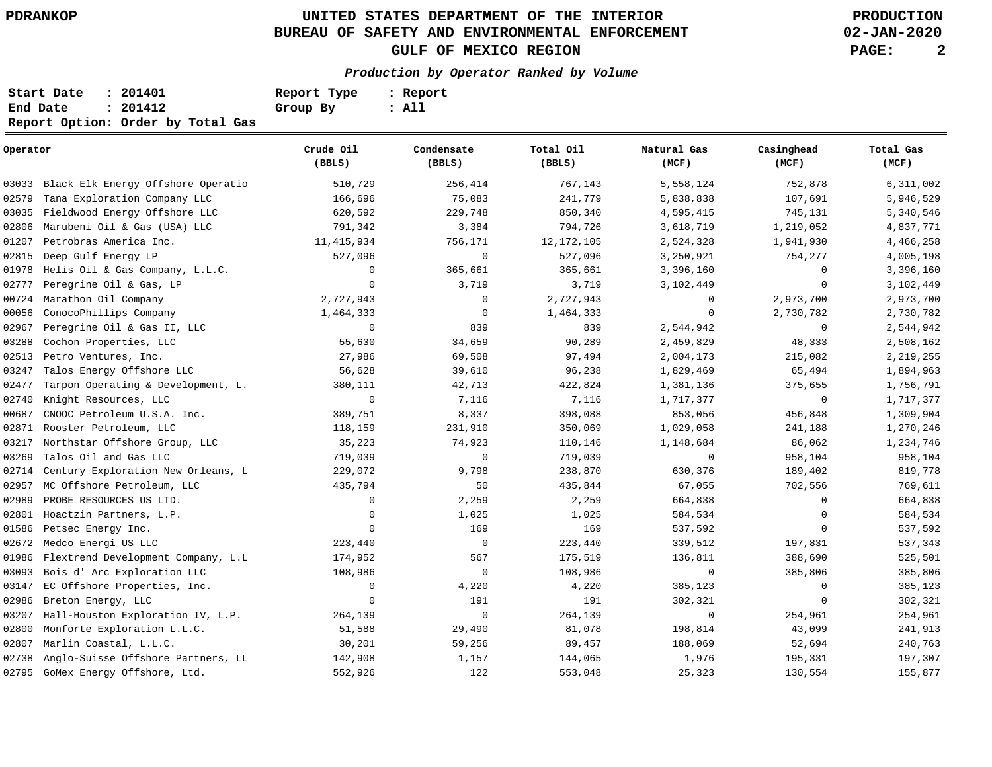# **UNITED STATES DEPARTMENT OF THE INTERIOR PDRANKOP PRODUCTION BUREAU OF SAFETY AND ENVIRONMENTAL ENFORCEMENT GULF OF MEXICO REGION PAGE: 2**

**02-JAN-2020**

**Production by Operator Ranked by Volume**

| Start Date | : 201401                          | Report Type | : Report |
|------------|-----------------------------------|-------------|----------|
| End Date   | : 201412                          | Group By    | : All    |
|            | Report Option: Order by Total Gas |             |          |

| Operator |                                     | Crude Oil<br>(BBLS) | Condensate<br>(BBLS) | Total Oil<br>(BBLS) | Natural Gas<br>(MCF) | Casinghead<br>(MCF) | Total Gas<br>(MCF) |  |
|----------|-------------------------------------|---------------------|----------------------|---------------------|----------------------|---------------------|--------------------|--|
| 03033    | Black Elk Energy Offshore Operatio  | 510,729             | 256,414              | 767,143             | 5,558,124            | 752,878             | 6,311,002          |  |
| 02579    | Tana Exploration Company LLC        | 166,696             | 75,083               | 241,779             | 5,838,838            | 107,691             | 5,946,529          |  |
| 03035    | Fieldwood Energy Offshore LLC       | 620,592             | 229,748              | 850,340             | 4,595,415            | 745,131             | 5,340,546          |  |
| 02806    | Marubeni Oil & Gas (USA) LLC        | 791,342             | 3,384                | 794,726             | 3,618,719            | 1,219,052           | 4,837,771          |  |
| 01207    | Petrobras America Inc.              | 11,415,934          | 756,171              | 12, 172, 105        | 2,524,328            | 1,941,930           | 4,466,258          |  |
| 02815    | Deep Gulf Energy LP                 | 527,096             | $\mathbf 0$          | 527,096             | 3,250,921            | 754,277             | 4,005,198          |  |
| 01978    | Helis Oil & Gas Company, L.L.C.     | $\mathbf 0$         | 365,661              | 365,661             | 3,396,160            | $\mathbf 0$         | 3,396,160          |  |
| 02777    | Peregrine Oil & Gas, LP             | $\mathbf 0$         | 3,719                | 3,719               | 3,102,449            | $\mathbf 0$         | 3,102,449          |  |
| 00724    | Marathon Oil Company                | 2,727,943           | $\circ$              | 2,727,943           | $\mathbf 0$          | 2,973,700           | 2,973,700          |  |
| 00056    | ConocoPhillips Company              | 1,464,333           | 0                    | 1,464,333           | $\mathbf 0$          | 2,730,782           | 2,730,782          |  |
| 02967    | Peregrine Oil & Gas II, LLC         | $\mathbf 0$         | 839                  | 839                 | 2,544,942            | $\mathbf 0$         | 2,544,942          |  |
| 03288    | Cochon Properties, LLC              | 55,630              | 34,659               | 90,289              | 2,459,829            | 48,333              | 2,508,162          |  |
| 02513    | Petro Ventures, Inc.                | 27,986              | 69,508               | 97,494              | 2,004,173            | 215,082             | 2, 219, 255        |  |
| 03247    | Talos Energy Offshore LLC           | 56,628              | 39,610               | 96,238              | 1,829,469            | 65,494              | 1,894,963          |  |
| 02477    | Tarpon Operating & Development, L.  | 380,111             | 42,713               | 422,824             | 1,381,136            | 375,655             | 1,756,791          |  |
| 02740    | Knight Resources, LLC               | $\mathbf 0$         | 7,116                | 7,116               | 1,717,377            | $\mathbf 0$         | 1,717,377          |  |
| 00687    | CNOOC Petroleum U.S.A. Inc.         | 389,751             | 8,337                | 398,088             | 853,056              | 456,848             | 1,309,904          |  |
| 02871    | Rooster Petroleum, LLC              | 118,159             | 231,910              | 350,069             | 1,029,058            | 241,188             | 1,270,246          |  |
| 03217    | Northstar Offshore Group, LLC       | 35,223              | 74,923               | 110,146             | 1,148,684            | 86,062              | 1,234,746          |  |
| 03269    | Talos Oil and Gas LLC               | 719,039             | $\mathbf 0$          | 719,039             | $\mathbf 0$          | 958,104             | 958,104            |  |
| 02714    | Century Exploration New Orleans, L  | 229,072             | 9,798                | 238,870             | 630,376              | 189,402             | 819,778            |  |
| 02957    | MC Offshore Petroleum, LLC          | 435,794             | 50                   | 435,844             | 67,055               | 702,556             | 769,611            |  |
| 02989    | PROBE RESOURCES US LTD.             | $\mathbf 0$         | 2,259                | 2,259               | 664,838              | $\mathbf 0$         | 664,838            |  |
| 02801    | Hoactzin Partners, L.P.             | $\mathbf 0$         | 1,025                | 1,025               | 584,534              | $\mathbf 0$         | 584,534            |  |
| 01586    | Petsec Energy Inc.                  | $\Omega$            | 169                  | 169                 | 537,592              | $\Omega$            | 537,592            |  |
| 02672    | Medco Energi US LLC                 | 223,440             | 0                    | 223,440             | 339,512              | 197,831             | 537,343            |  |
| 01986    | Flextrend Development Company, L.L. | 174,952             | 567                  | 175,519             | 136,811              | 388,690             | 525,501            |  |
| 03093    | Bois d' Arc Exploration LLC         | 108,986             | 0                    | 108,986             | $\mathbf 0$          | 385,806             | 385,806            |  |
| 03147    | EC Offshore Properties, Inc.        | $\mathbf 0$         | 4,220                | 4,220               | 385,123              | $\mathbf 0$         | 385,123            |  |
| 02986    | Breton Energy, LLC                  | $\mathbf 0$         | 191                  | 191                 | 302,321              | $\mathbf 0$         | 302,321            |  |
| 03207    | Hall-Houston Exploration IV, L.P.   | 264,139             | $\mathsf{O}\xspace$  | 264,139             | $\mathbf 0$          | 254,961             | 254,961            |  |
| 02800    | Monforte Exploration L.L.C.         | 51,588              | 29,490               | 81,078              | 198,814              | 43,099              | 241,913            |  |
| 02807    | Marlin Coastal, L.L.C.              | 30,201              | 59,256               | 89,457              | 188,069              | 52,694              | 240,763            |  |
| 02738    | Anglo-Suisse Offshore Partners, LL  | 142,908             | 1,157                | 144,065             | 1,976                | 195,331             | 197,307            |  |
| 02795    | GoMex Energy Offshore, Ltd.         | 552,926             | 122                  | 553,048             | 25,323               | 130,554             | 155,877            |  |